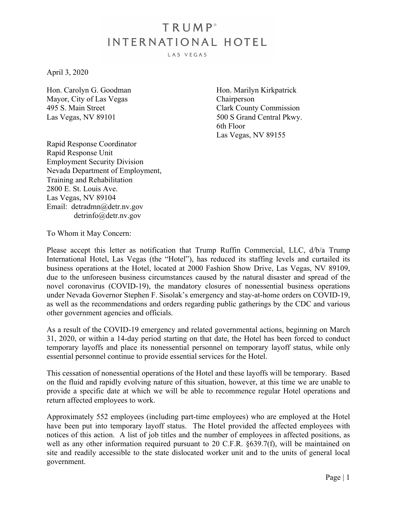## TRUMP<sup>®</sup> INTERNATIONAL HOTEL

LAS VEGAS

April 3, 2020

Hon. Carolyn G. Goodman Mayor, City of Las Vegas 495 S. Main Street Las Vegas, NV 89101

Hon. Marilyn Kirkpatrick Chairperson Clark County Commission 500 S Grand Central Pkwy. 6th Floor Las Vegas, NV 89155

Rapid Response Coordinator Rapid Response Unit Employment Security Division Nevada Department of Employment, Training and Rehabilitation 2800 E. St. Louis Ave. Las Vegas, NV 89104 Email: detradmn@detr.nv.gov detrinfo@detr.nv.gov

To Whom it May Concern:

Please accept this letter as notification that Trump Ruffin Commercial, LLC,  $d/b/a$  Trump International Hotel, Las Vegas (the "Hotel"), has reduced its staffing levels and curtailed its business operations at the Hotel, located at 2000 Fashion Show Drive, Las Vegas, NV 89109, due to the unforeseen business circumstances caused by the natural disaster and spread of the novel coronavirus (COVID-19), the mandatory closures of nonessential business operations under Nevada Governor Stephen F. Sisolak's emergency and stay-at-home orders on COVID-19, as well as the recommendations and orders regarding public gatherings by the CDC and various other government agencies and officials.

As a result of the COVID-19 emergency and related governmental actions, beginning on March 31, 2020, or within a 14-day period starting on that date, the Hotel has been forced to conduct temporary layoffs and place its nonessential personnel on temporary layoff status, while only essential personnel continue to provide essential services for the Hotel.

This cessation of nonessential operations of the Hotel and these layoffs will be temporary. Based on the fluid and rapidly evolving nature of this situation, however, at this time we are unable to provide a specific date at which we will be able to recommence regular Hotel operations and return affected employees to work.

Approximately 552 employees (including part-time employees) who are employed at the Hotel have been put into temporary layoff status. The Hotel provided the affected employees with notices of this action. A list of job titles and the number of employees in affected positions, as well as any other information required pursuant to 20 C.F.R.  $\S 639.7(f)$ , will be maintained on site and readily accessible to the state dislocated worker unit and to the units of general local government.